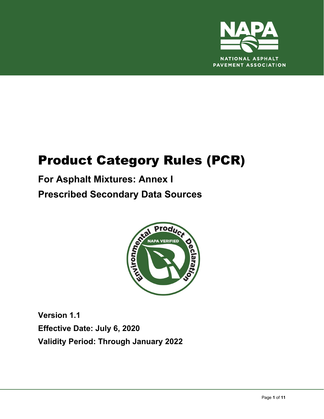

# Product Category Rules (PCR)

## **For Asphalt Mixtures: Annex I Prescribed Secondary Data Sources**



**Version 1.1 Effective Date: July 6, 2020 Validity Period: Through January 2022**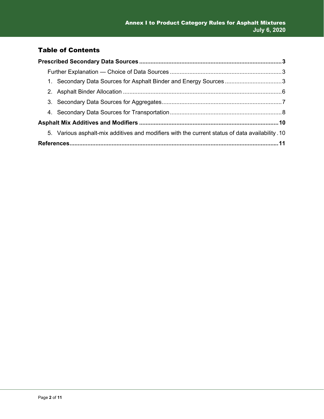#### Table of Contents

| 1. Secondary Data Sources for Asphalt Binder and Energy Sources 3                              |  |
|------------------------------------------------------------------------------------------------|--|
|                                                                                                |  |
|                                                                                                |  |
|                                                                                                |  |
|                                                                                                |  |
| 5. Various asphalt-mix additives and modifiers with the current status of data availability 10 |  |
|                                                                                                |  |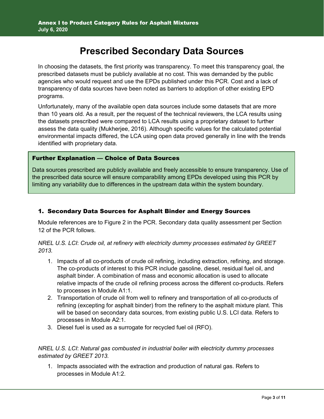### **Prescribed Secondary Data Sources**

In choosing the datasets, the first priority was transparency. To meet this transparency goal, the prescribed datasets must be publicly available at no cost. This was demanded by the public agencies who would request and use the EPDs published under this PCR. Cost and a lack of transparency of data sources have been noted as barriers to adoption of other existing EPD programs.

Unfortunately, many of the available open data sources include some datasets that are more than 10 years old. As a result, per the request of the technical reviewers, the LCA results using the datasets prescribed were compared to LCA results using a proprietary dataset to further assess the data quality (Mukherjee, 2016). Although specific values for the calculated potential environmental impacts differed, the LCA using open data proved generally in line with the trends identified with proprietary data.

#### Further Explanation — Choice of Data Sources

Data sources prescribed are publicly available and freely accessible to ensure transparency. Use of the prescribed data source will ensure comparability among EPDs developed using this PCR by limiting any variability due to differences in the upstream data within the system boundary.

#### 1. Secondary Data Sources for Asphalt Binder and Energy Sources

Module references are to Figure 2 in the PCR. Secondary data quality assessment per Section 12 of the PCR follows.

#### *NREL U.S. LCI*: *Crude oil, at refinery with electricity dummy processes estimated by GREET 2013.*

- 1. Impacts of all co-products of crude oil refining, including extraction, refining, and storage. The co-products of interest to this PCR include gasoline, diesel, residual fuel oil, and asphalt binder. A combination of mass and economic allocation is used to allocate relative impacts of the crude oil refining process across the different co-products. Refers to processes in Module A1:1.
- 2. Transportation of crude oil from well to refinery and transportation of all co-products of refining (excepting for asphalt binder) from the refinery to the asphalt mixture plant. This will be based on secondary data sources, from existing public U.S. LCI data. Refers to processes in Module A2:1.
- 3. Diesel fuel is used as a surrogate for recycled fuel oil (RFO).

#### *NREL U.S. LCI*: *Natural gas combusted in industrial boiler with electricity dummy processes estimated by GREET 2013.*

1. Impacts associated with the extraction and production of natural gas. Refers to processes in Module A1:2.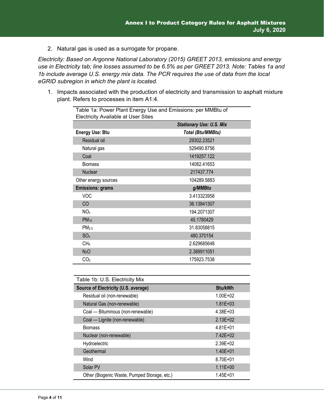2. Natural gas is used as a surrogate for propane.

*Electricity: Based on Argonne National Laboratory (2015) GREET 2013, emissions and energy use in Electricity tab; line losses assumed to be 6.5% as per GREET 2013. Note: Tables 1a and 1b include average U.S. energy mix data. The PCR requires the use of data from the local eGRID subregion in which the plant is located.* 

1. Impacts associated with the production of electricity and transmission to asphalt mixture plant. Refers to processes in item A1:4.

| Table 1a: Power Plant Energy Use and Emissions: per MMBtu of<br><b>Electricity Available at User Sites</b> |                          |  |  |  |  |  |
|------------------------------------------------------------------------------------------------------------|--------------------------|--|--|--|--|--|
| <b>Stationary Use: U.S. Mix</b>                                                                            |                          |  |  |  |  |  |
| <b>Energy Use: Btu</b>                                                                                     | <b>Total (Btu/MMBtu)</b> |  |  |  |  |  |
| Residual oil                                                                                               | 29302.23521              |  |  |  |  |  |
| Natural gas                                                                                                | 529490.8756              |  |  |  |  |  |
| Coal                                                                                                       | 1419257.122              |  |  |  |  |  |
| <b>Biomass</b>                                                                                             | 14082.41653              |  |  |  |  |  |
| <b>Nuclear</b>                                                                                             | 217437.774               |  |  |  |  |  |
| Other energy sources                                                                                       | 104289.5883              |  |  |  |  |  |
| <b>Emissions: grams</b>                                                                                    | g/MMBtu                  |  |  |  |  |  |
| <b>VOC</b>                                                                                                 | 3.413323958              |  |  |  |  |  |
| CO                                                                                                         | 36.13841307              |  |  |  |  |  |
| NO <sub>x</sub>                                                                                            | 194.2071307              |  |  |  |  |  |
| $PM_{10}$                                                                                                  | 45.1780429               |  |  |  |  |  |
| PM <sub>2.5</sub>                                                                                          | 31.83058815              |  |  |  |  |  |
| SO <sub>x</sub>                                                                                            | 480.370154               |  |  |  |  |  |
| CH <sub>4</sub>                                                                                            | 2.629685648              |  |  |  |  |  |
| N <sub>2</sub> O                                                                                           | 2.389911051              |  |  |  |  |  |
| CO <sub>2</sub>                                                                                            | 175923.7538              |  |  |  |  |  |

| Table 1b: U.S. Electricity Mix               |                |  |  |  |  |
|----------------------------------------------|----------------|--|--|--|--|
| Source of Electricity (U.S. average)         | <b>Btu/kWh</b> |  |  |  |  |
| Residual oil (non-renewable)                 | $1.00E + 02$   |  |  |  |  |
| Natural Gas (non-renewable)                  | $1.81E + 03$   |  |  |  |  |
| Coal - Bituminous (non-renewable)            | $4.38E + 03$   |  |  |  |  |
| Coal - Lignite (non-renewable)               | $2.13E + 02$   |  |  |  |  |
| <b>Biomass</b>                               | $4.81E + 01$   |  |  |  |  |
| Nuclear (non-renewable)                      | $7.42E + 02$   |  |  |  |  |
| Hydroelectric                                | $2.39E + 02$   |  |  |  |  |
| Geothermal                                   | $1.40E + 01$   |  |  |  |  |
| Wind                                         | 8.70E+01       |  |  |  |  |
| Solar PV                                     | $1.11E + 00$   |  |  |  |  |
| Other (Biogenic Waste, Pumped Storage, etc.) | $1.45E + 01$   |  |  |  |  |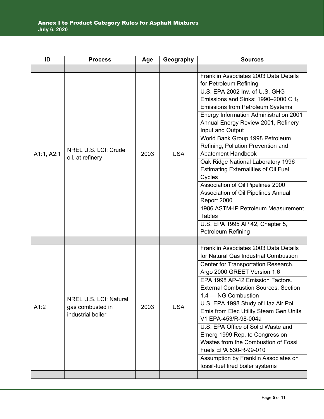| ID         | <b>Process</b>                                                  | Age  | Geography  | <b>Sources</b>                                                                                                                                                                                                                                                                                                                                                                                                                                                                                                                                                                                                                                                                                                                    |
|------------|-----------------------------------------------------------------|------|------------|-----------------------------------------------------------------------------------------------------------------------------------------------------------------------------------------------------------------------------------------------------------------------------------------------------------------------------------------------------------------------------------------------------------------------------------------------------------------------------------------------------------------------------------------------------------------------------------------------------------------------------------------------------------------------------------------------------------------------------------|
|            |                                                                 |      |            |                                                                                                                                                                                                                                                                                                                                                                                                                                                                                                                                                                                                                                                                                                                                   |
| A1:1, A2:1 | NREL U.S. LCI: Crude<br>oil, at refinery                        | 2003 | <b>USA</b> | Franklin Associates 2003 Data Details<br>for Petroleum Refining<br>U.S. EPA 2002 Inv. of U.S. GHG<br>Emissions and Sinks: 1990–2000 CH <sub>4</sub><br><b>Emissions from Petroleum Systems</b><br><b>Energy Information Administration 2001</b><br>Annual Energy Review 2001, Refinery<br>Input and Output<br>World Bank Group 1998 Petroleum<br>Refining, Pollution Prevention and<br><b>Abatement Handbook</b><br>Oak Ridge National Laboratory 1996<br><b>Estimating Externalities of Oil Fuel</b><br>Cycles<br>Association of Oil Pipelines 2000<br>Association of Oil Pipelines Annual<br>Report 2000<br>1986 ASTM-IP Petroleum Measurement<br><b>Tables</b><br>U.S. EPA 1995 AP 42, Chapter 5,<br><b>Petroleum Refining</b> |
|            |                                                                 |      |            |                                                                                                                                                                                                                                                                                                                                                                                                                                                                                                                                                                                                                                                                                                                                   |
| A1:2       | NREL U.S. LCI: Natural<br>gas combusted in<br>industrial boiler | 2003 | <b>USA</b> | Franklin Associates 2003 Data Details<br>for Natural Gas Industrial Combustion<br>Center for Transportation Research,<br>Argo 2000 GREET Version 1.6<br>EPA 1998 AP-42 Emission Factors.<br><b>External Combustion Sources. Section</b><br>1.4 - NG Combustion<br>U.S. EPA 1998 Study of Haz Air Pol<br>Emis from Elec Utility Steam Gen Units<br>V1 EPA-453/R-98-004a<br>U.S. EPA Office of Solid Waste and<br>Emerg 1999 Rep. to Congress on<br>Wastes from the Combustion of Fossil<br>Fuels EPA 530-R-99-010<br>Assumption by Franklin Associates on<br>fossil-fuel fired boiler systems                                                                                                                                      |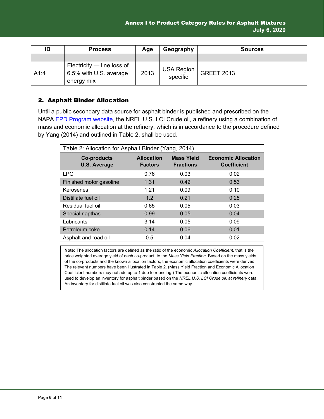| ID   | <b>Process</b>                                                       | Age  | Geography                     | <b>Sources</b>    |
|------|----------------------------------------------------------------------|------|-------------------------------|-------------------|
|      |                                                                      |      |                               |                   |
| A1:4 | Electricity $-$ line loss of<br>6.5% with U.S. average<br>energy mix | 2013 | <b>USA Region</b><br>specific | <b>GREET 2013</b> |

#### 2. Asphalt Binder Allocation

Until a public secondary data source for asphalt binder is published and prescribed on the NAPA **EPD Program website**, the NREL U.S. LCI Crude oil, a refinery using a combination of mass and economic allocation at the refinery, which is in accordance to the procedure defined by Yang (2014) and outlined in Table 2, shall be used.

| Table 2: Allocation for Asphalt Binder (Yang, 2014) |                                     |                                       |                                                  |  |  |  |  |
|-----------------------------------------------------|-------------------------------------|---------------------------------------|--------------------------------------------------|--|--|--|--|
| <b>Co-products</b><br><b>U.S. Average</b>           | <b>Allocation</b><br><b>Factors</b> | <b>Mass Yield</b><br><b>Fractions</b> | <b>Economic Allocation</b><br><b>Coefficient</b> |  |  |  |  |
| <b>LPG</b>                                          | 0.76                                | 0.03                                  | 0.02                                             |  |  |  |  |
| Finished motor gasoline                             | 1.31                                | 0.42                                  | 0.53                                             |  |  |  |  |
| Kerosenes                                           | 1.21                                | 0.09                                  | 0.10                                             |  |  |  |  |
| Distillate fuel oil                                 | 1.2                                 | 0.21                                  | 0.25                                             |  |  |  |  |
| Residual fuel oil                                   | 0.65                                | 0.05                                  | 0.03                                             |  |  |  |  |
| Special napthas                                     | 0.99                                | 0.05                                  | 0.04                                             |  |  |  |  |
| Lubricants                                          | 3.14                                | 0.05                                  | 0.09                                             |  |  |  |  |
| Petroleum coke                                      | 0.14                                | 0.06                                  | 0.01                                             |  |  |  |  |
| Asphalt and road oil                                | 0.5                                 | 0.04                                  | 0.02                                             |  |  |  |  |

**Note:** The allocation factors are defined as the ratio of the economic *Allocation Coefficient*, that is the price weighted average yield of each co-product, to the *Mass Yield Fraction*. Based on the mass yields of the co-products and the known allocation factors, the economic allocation coefficients were derived. The relevant numbers have been illustrated in Table 2. (Mass Yield Fraction and Economic Allocation Coefficient numbers may not add up to 1 due to rounding.) The economic allocation coefficients were used to develop an inventory for asphalt binder based on the *NREL U.S. LCI Crude oil, at refinery* data. An inventory for distillate fuel oil was also constructed the same way.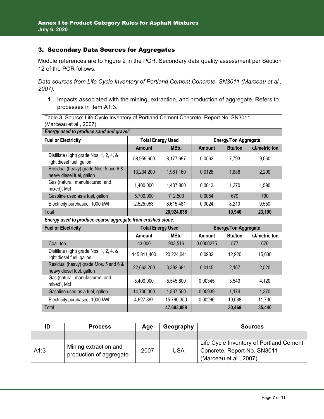#### 3. Secondary Data Sources for Aggregates

Module references are to Figure 2 in the PCR. Secondary data quality assessment per Section 12 of the PCR follows.

*Data sources from Life Cycle Inventory of Portland Cement Concrete, SN3011 (Marceau et al., 2007).*

1. Impacts associated with the mining, extraction, and production of aggregate. Refers to processes in item A1:3.

Table 3: Source: Life Cycle Inventory of Portland Cement Concrete, Report No. SN3011 (Marceau et al., 2007).

| Energy used to produce sand and gravel:                               |                          |             |                             |                |               |  |
|-----------------------------------------------------------------------|--------------------------|-------------|-----------------------------|----------------|---------------|--|
| <b>Fuel or Electricity</b>                                            | <b>Total Energy Used</b> |             | <b>Energy/Ton Aggregate</b> |                |               |  |
|                                                                       | <b>Amount</b>            | <b>MBtu</b> | <b>Amount</b>               | <b>Btu/ton</b> | kJ/metric ton |  |
| Distillate (light) grade Nos. 1, 2, 4, &<br>light diesel fuel, gallon | 58,959,600               | 8,177,697   | 0.0562                      | 7,793          | 9,060         |  |
| Residual (heavy) grade Nos. 5 and 6 &<br>heavy diesel fuel, gallon    | 13,234,200               | 1,981,160   | 0.0126                      | 1,888          | 2,200         |  |
| Gas (natural, manufactured, and<br>mixed), Mcf                        | 1,400,000                | 1,437,800   | 0.0013                      | 1,370          | 1,590         |  |
| Gasoline used as a fuel, gallon                                       | 5,700,000                | 712,500     | 0.0054                      | 679            | 790           |  |
| Electricity purchased, 1000 kWh                                       | 2,525,053                | 8,615,481   | 0.0024                      | 8,210          | 9,550         |  |
| Total                                                                 |                          | 20,924,638  |                             | 19,940         | 23,190        |  |

*Energy used to produce coarse aggregate from crushed stone:* 

| <b>Fuel or Electricity</b>                                            | <b>Total Energy Used</b> |             | <b>Energy/Ton Aggregate</b> |                |               |
|-----------------------------------------------------------------------|--------------------------|-------------|-----------------------------|----------------|---------------|
|                                                                       | Amount                   | <b>MBtu</b> | Amount                      | <b>Btu/ton</b> | kJ/metric ton |
| Coal. ton                                                             | 43,000                   | 903,516     | 0.0000275                   | 577            | 670           |
| Distillate (light) grade Nos. 1, 2, 4, &<br>light diesel fuel, gallon | 145,811,400              | 20,224,041  | 0.0932                      | 12,920         | 15,030        |
| Residual (heavy) grade Mos. 5 and 6 &<br>heavy diesel fuel, gallon    | 22,663,200               | 3,392,681   | 0.0145                      | 2,167          | 2,520         |
| Gas (natural, manufactured, and<br>mixed), Mcf                        | 5,400,000                | 5,545,800   | 0.00345                     | 3,543          | 4,120         |
| Gasoline used as a fuel, gallon                                       | 14,700,000               | 1,837,500   | 0.00939                     | 1,174          | 1,370         |
| Electricity purchased, 1000 kWh                                       | 4,627,887                | 15,790,350  | 0.00296                     | 10,088         | 11,730        |
| Total                                                                 |                          | 47,693,888  |                             | 30.469         | 35,440        |

| ID   | <b>Process</b>                                   | Age  | Geography  | <b>Sources</b>                                                                                   |
|------|--------------------------------------------------|------|------------|--------------------------------------------------------------------------------------------------|
|      |                                                  |      |            |                                                                                                  |
| A1:3 | Mining extraction and<br>production of aggregate | 2007 | <b>USA</b> | Life Cycle Inventory of Portland Cement<br>Concrete, Report No. SN3011<br>(Marceau et al., 2007) |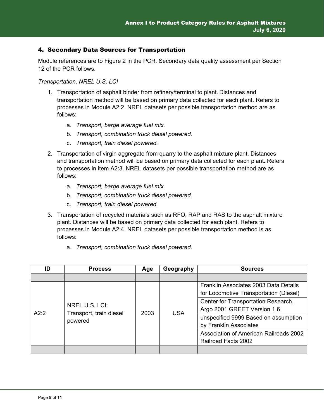#### 4. Secondary Data Sources for Transportation

Module references are to Figure 2 in the PCR. Secondary data quality assessment per Section 12 of the PCR follows.

*Transportation, NREL U.S. LCI* 

- 1. Transportation of asphalt binder from refinery/terminal to plant. Distances and transportation method will be based on primary data collected for each plant. Refers to processes in Module A2:2. NREL datasets per possible transportation method are as follows:
	- a. *Transport, barge average fuel mix.*
	- b. *Transport, combination truck diesel powered.*
	- c. *Transport, train diesel powered.*
- 2. Transportation of virgin aggregate from quarry to the asphalt mixture plant. Distances and transportation method will be based on primary data collected for each plant. Refers to processes in item A2:3. NREL datasets per possible transportation method are as follows:
	- a. *Transport, barge average fuel mix.*
	- b. *Transport, combination truck diesel powered.*
	- c. *Transport, train diesel powered.*
- 3. Transportation of recycled materials such as RFO, RAP and RAS to the asphalt mixture plant. Distances will be based on primary data collected for each plant. Refers to processes in Module A2:4. NREL datasets per possible transportation method is as follows:
	- a. *Transport, combination truck diesel powered.*

| ID   | <b>Process</b>                                       | Age  | Geography  | <b>Sources</b>                         |
|------|------------------------------------------------------|------|------------|----------------------------------------|
|      |                                                      |      |            |                                        |
|      |                                                      |      |            | Franklin Associates 2003 Data Details  |
|      | NREL U.S. LCI:<br>Transport, train diesel<br>powered | 2003 |            | for Locomotive Transportation (Diesel) |
|      |                                                      |      | <b>USA</b> | Center for Transportation Research,    |
| A2:2 |                                                      |      |            | Argo 2001 GREET Version 1.6            |
|      |                                                      |      |            | unspecified 9999 Based on assumption   |
|      |                                                      |      |            | by Franklin Associates                 |
|      |                                                      |      |            | Association of American Railroads 2002 |
|      |                                                      |      |            | <b>Railroad Facts 2002</b>             |
|      |                                                      |      |            |                                        |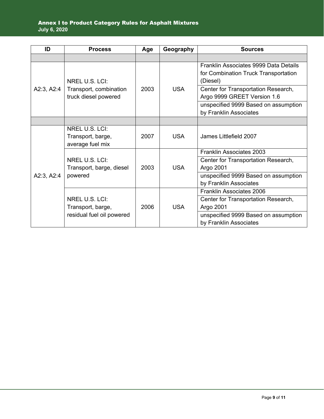| ID         | <b>Process</b>                                        | Age  | Geography  | <b>Sources</b>                        |
|------------|-------------------------------------------------------|------|------------|---------------------------------------|
|            |                                                       |      |            |                                       |
|            |                                                       |      |            | Franklin Associates 9999 Data Details |
|            |                                                       |      |            | for Combination Truck Transportation  |
|            | NREL U.S. LCI:                                        |      |            | (Diesel)                              |
| A2:3, A2:4 | Transport, combination                                | 2003 | <b>USA</b> | Center for Transportation Research,   |
|            | truck diesel powered                                  |      |            | Argo 9999 GREET Version 1.6           |
|            |                                                       |      |            | unspecified 9999 Based on assumption  |
|            |                                                       |      |            | by Franklin Associates                |
|            |                                                       |      |            |                                       |
|            | NREL U.S. LCI:                                        |      |            |                                       |
|            | Transport, barge,                                     | 2007 | <b>USA</b> | James Littlefield 2007                |
|            | average fuel mix                                      |      |            |                                       |
|            | NREL U.S. LCI:<br>Transport, barge, diesel<br>powered | 2003 | <b>USA</b> | <b>Franklin Associates 2003</b>       |
|            |                                                       |      |            | Center for Transportation Research,   |
|            |                                                       |      |            | Argo 2001                             |
| A2:3, A2:4 |                                                       |      |            | unspecified 9999 Based on assumption  |
|            |                                                       |      |            | by Franklin Associates                |
|            |                                                       |      |            | <b>Franklin Associates 2006</b>       |
|            | NREL U.S. LCI:                                        |      |            | Center for Transportation Research,   |
|            | Transport, barge,                                     | 2006 | <b>USA</b> | Argo 2001                             |
|            | residual fuel oil powered                             |      |            | unspecified 9999 Based on assumption  |
|            |                                                       |      |            | by Franklin Associates                |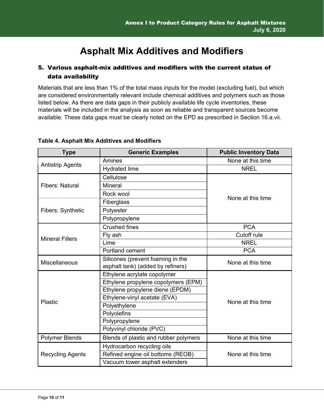## **Asphalt Mix Additives and Modifiers**

#### 5. Various asphalt-mix additives and modifiers with the current status of data availability

Materials that are less than 1% of the total mass inputs for the model (excluding fuel), but which are considered environmentally relevant include chemical additives and polymers such as those listed below. As there are data gaps in their publicly available life cycle inventories, these materials will be included in the analysis as soon as reliable and transparent sources become available. These data gaps must be clearly noted on the EPD as prescribed in Section 16.a.vii.

| <b>Type</b>              | <b>Generic Examples</b>                                | <b>Public Inventory Data</b> |  |
|--------------------------|--------------------------------------------------------|------------------------------|--|
| <b>Antistrip Agents</b>  | Amines                                                 | None at this time            |  |
|                          | <b>Hydrated lime</b>                                   | <b>NREL</b>                  |  |
|                          | Cellulose                                              |                              |  |
| <b>Fibers: Natural</b>   | Mineral                                                |                              |  |
|                          | Rock wool                                              | None at this time            |  |
|                          | Fiberglass                                             |                              |  |
| <b>Fibers: Synthetic</b> | Polyester                                              |                              |  |
|                          | Polypropylene                                          |                              |  |
|                          | <b>Crushed fines</b>                                   | <b>PCA</b>                   |  |
| <b>Mineral Fillers</b>   | Fly ash                                                | Cutoff rule                  |  |
|                          | Lime                                                   | <b>NREL</b>                  |  |
|                          | Portland cement                                        | <b>PCA</b>                   |  |
| Miscellaneous            | Silicones (prevent foaming in the                      | None at this time            |  |
|                          | asphalt tank) (added by refiners)                      |                              |  |
|                          | Ethylene acrylate copolymer                            |                              |  |
|                          | Ethylene propylene copolymers (EPM)                    |                              |  |
|                          | Ethylene propylene diene (EPDM)                        |                              |  |
| <b>Plastic</b>           | Ethylene-vinyl acetate (EVA)                           | None at this time            |  |
|                          | Polyethylene                                           |                              |  |
|                          | Polyolefins                                            |                              |  |
|                          | Polypropylene                                          |                              |  |
|                          | Polyvinyl chloride (PVC)                               |                              |  |
| <b>Polymer Blends</b>    | Blends of plastic and rubber polymers                  | None at this time            |  |
|                          | Hydrocarbon recycling oils                             |                              |  |
| <b>Recycling Agents</b>  | Refined engine oil bottoms (REOB)<br>None at this time |                              |  |
|                          | Vacuum tower asphalt extenders                         |                              |  |

#### **Table 4. Asphalt Mix Additives and Modifiers**